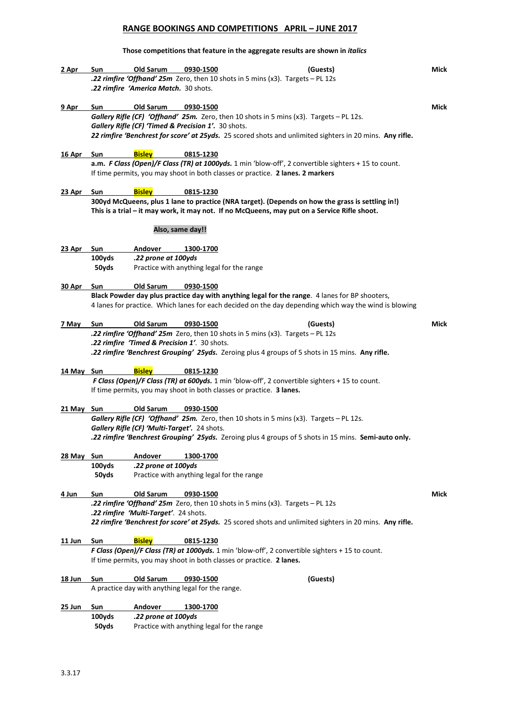# **RANGE BOOKINGS AND COMPETITIONS APRIL – JUNE 2017**

#### **Those competitions that feature in the aggregate results are shown in** *italics*

| 2 Apr          | Sun                                                                                                                                     | Old Sarum                                           | 0930-1500        | (Guests)                                                                                                                                                                | <b>Mick</b> |  |  |
|----------------|-----------------------------------------------------------------------------------------------------------------------------------------|-----------------------------------------------------|------------------|-------------------------------------------------------------------------------------------------------------------------------------------------------------------------|-------------|--|--|
|                |                                                                                                                                         |                                                     |                  | .22 rimfire 'Offhand' 25m Zero, then 10 shots in 5 mins (x3). Targets - PL 12s                                                                                          |             |  |  |
|                |                                                                                                                                         | .22 rimfire 'America Match. 30 shots.               |                  |                                                                                                                                                                         |             |  |  |
|                |                                                                                                                                         |                                                     |                  |                                                                                                                                                                         |             |  |  |
| 9 Apr          | Sun                                                                                                                                     | Old Sarum                                           | 0930-1500        |                                                                                                                                                                         | Mick        |  |  |
|                |                                                                                                                                         |                                                     |                  | Gallery Rifle (CF) 'Offhand' 25m. Zero, then 10 shots in 5 mins (x3). Targets - PL 12s.                                                                                 |             |  |  |
|                |                                                                                                                                         | Gallery Rifle (CF) 'Timed & Precision 1'. 30 shots. |                  |                                                                                                                                                                         |             |  |  |
|                |                                                                                                                                         |                                                     |                  | 22 rimfire 'Benchrest for score' at 25yds. 25 scored shots and unlimited sighters in 20 mins. Any rifle.                                                                |             |  |  |
|                |                                                                                                                                         | <b>Bisley</b>                                       |                  |                                                                                                                                                                         |             |  |  |
| 16 Apr         | Sun                                                                                                                                     |                                                     | 0815-1230        | a.m. F Class (Open)/F Class (TR) at 1000yds. 1 min 'blow-off', 2 convertible sighters + 15 to count.                                                                    |             |  |  |
|                |                                                                                                                                         |                                                     |                  | If time permits, you may shoot in both classes or practice. 2 lanes. 2 markers                                                                                          |             |  |  |
|                |                                                                                                                                         |                                                     |                  |                                                                                                                                                                         |             |  |  |
| 23 Apr         | Sun                                                                                                                                     | <b>Bisley</b>                                       | 0815-1230        |                                                                                                                                                                         |             |  |  |
|                |                                                                                                                                         |                                                     |                  | 300yd McQueens, plus 1 lane to practice (NRA target). (Depends on how the grass is settling in!)                                                                        |             |  |  |
|                |                                                                                                                                         |                                                     |                  | This is a trial - it may work, it may not. If no McQueens, may put on a Service Rifle shoot.                                                                            |             |  |  |
|                |                                                                                                                                         |                                                     |                  |                                                                                                                                                                         |             |  |  |
|                |                                                                                                                                         |                                                     | Also, same day!! |                                                                                                                                                                         |             |  |  |
| 23 Apr         | Sun                                                                                                                                     | Andover                                             | 1300-1700        |                                                                                                                                                                         |             |  |  |
|                | 100yds                                                                                                                                  | .22 prone at 100yds                                 |                  |                                                                                                                                                                         |             |  |  |
|                | 50yds                                                                                                                                   | Practice with anything legal for the range          |                  |                                                                                                                                                                         |             |  |  |
|                |                                                                                                                                         |                                                     |                  |                                                                                                                                                                         |             |  |  |
| 30 Apr         | Sun                                                                                                                                     | Old Sarum                                           | 0930-1500        |                                                                                                                                                                         |             |  |  |
|                |                                                                                                                                         |                                                     |                  | Black Powder day plus practice day with anything legal for the range. 4 lanes for BP shooters,                                                                          |             |  |  |
|                |                                                                                                                                         |                                                     |                  | 4 lanes for practice. Which lanes for each decided on the day depending which way the wind is blowing                                                                   |             |  |  |
|                |                                                                                                                                         |                                                     |                  |                                                                                                                                                                         |             |  |  |
| 7 May          | Sun                                                                                                                                     | Old Sarum                                           | 0930-1500        | (Guests)                                                                                                                                                                | Mick        |  |  |
|                |                                                                                                                                         | .22 rimfire 'Timed & Precision 1'. 30 shots.        |                  | <b>.22 rimfire 'Offhand' 25m</b> Zero, then 10 shots in 5 mins (x3). Targets - PL 12s                                                                                   |             |  |  |
|                |                                                                                                                                         |                                                     |                  | .22 rimfire 'Benchrest Grouping' 25yds. Zeroing plus 4 groups of 5 shots in 15 mins. Any rifle.                                                                         |             |  |  |
|                |                                                                                                                                         |                                                     |                  |                                                                                                                                                                         |             |  |  |
| 14 May Sun     |                                                                                                                                         | <b>Bisley</b>                                       | 0815-1230        |                                                                                                                                                                         |             |  |  |
|                |                                                                                                                                         |                                                     |                  | F Class (Open)/F Class (TR) at 600yds. 1 min 'blow-off', 2 convertible sighters + 15 to count.                                                                          |             |  |  |
|                |                                                                                                                                         |                                                     |                  | If time permits, you may shoot in both classes or practice. 3 lanes.                                                                                                    |             |  |  |
|                |                                                                                                                                         |                                                     |                  |                                                                                                                                                                         |             |  |  |
| 21 May Sun     |                                                                                                                                         | Old Sarum                                           | 0930-1500        |                                                                                                                                                                         |             |  |  |
|                | Gallery Rifle (CF) 'Offhand' 25m. Zero, then 10 shots in 5 mins (x3). Targets - PL 12s.<br>Gallery Rifle (CF) 'Multi-Target'. 24 shots. |                                                     |                  |                                                                                                                                                                         |             |  |  |
|                |                                                                                                                                         |                                                     |                  |                                                                                                                                                                         |             |  |  |
|                |                                                                                                                                         |                                                     |                  | .22 rimfire 'Benchrest Grouping' 25yds. Zeroing plus 4 groups of 5 shots in 15 mins. Semi-auto only.                                                                    |             |  |  |
| 28 May Sun     |                                                                                                                                         | <b>Andover</b>                                      | 1300-1700        |                                                                                                                                                                         |             |  |  |
|                | 100yds                                                                                                                                  | .22 prone at 100yds                                 |                  |                                                                                                                                                                         |             |  |  |
|                | 50yds                                                                                                                                   | Practice with anything legal for the range          |                  |                                                                                                                                                                         |             |  |  |
|                |                                                                                                                                         |                                                     |                  |                                                                                                                                                                         |             |  |  |
| 4 Jun          | Sun                                                                                                                                     | Old Sarum                                           | 0930-1500        |                                                                                                                                                                         | Mick        |  |  |
|                |                                                                                                                                         |                                                     |                  | <b>22 rimfire 'Offhand' 25m</b> Zero, then 10 shots in 5 mins (x3). Targets - PL 12s                                                                                    |             |  |  |
|                |                                                                                                                                         | .22 rimfire 'Multi-Target'. 24 shots.               |                  |                                                                                                                                                                         |             |  |  |
|                |                                                                                                                                         |                                                     |                  | 22 rimfire 'Benchrest for score' at 25yds. 25 scored shots and unlimited sighters in 20 mins. Any rifle.                                                                |             |  |  |
|                |                                                                                                                                         |                                                     |                  |                                                                                                                                                                         |             |  |  |
| 11 Jun         | Sun                                                                                                                                     | <b>Bisley</b>                                       | 0815-1230        |                                                                                                                                                                         |             |  |  |
|                |                                                                                                                                         |                                                     |                  | F Class (Open)/F Class (TR) at 1000yds. 1 min 'blow-off', 2 convertible sighters + 15 to count.<br>If time permits, you may shoot in both classes or practice. 2 lanes. |             |  |  |
|                |                                                                                                                                         |                                                     |                  |                                                                                                                                                                         |             |  |  |
| 18 Jun         | Sun                                                                                                                                     | Old Sarum                                           | 0930-1500        | (Guests)                                                                                                                                                                |             |  |  |
|                |                                                                                                                                         | A practice day with anything legal for the range.   |                  |                                                                                                                                                                         |             |  |  |
|                |                                                                                                                                         |                                                     |                  |                                                                                                                                                                         |             |  |  |
| <u> 25 Jun</u> | Sun                                                                                                                                     | Andover                                             | 1300-1700        |                                                                                                                                                                         |             |  |  |
|                | 100yds                                                                                                                                  | .22 prone at 100yds                                 |                  |                                                                                                                                                                         |             |  |  |
|                | 50yds                                                                                                                                   | Practice with anything legal for the range          |                  |                                                                                                                                                                         |             |  |  |
|                |                                                                                                                                         |                                                     |                  |                                                                                                                                                                         |             |  |  |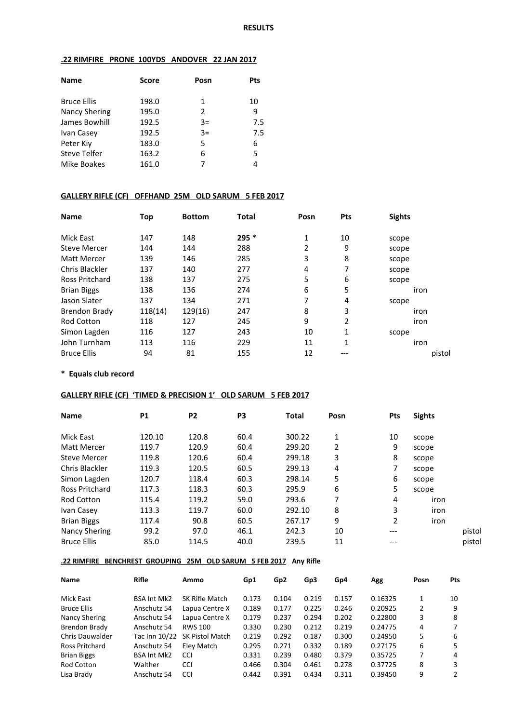### **.22 RIMFIRE PRONE 100YDS ANDOVER 22 JAN 2017**

| <b>Name</b>          | <b>Score</b> | Posn | Pts |
|----------------------|--------------|------|-----|
| <b>Bruce Ellis</b>   | 198.0        | 1    | 10  |
| <b>Nancy Shering</b> | 195.0        | 2    | 9   |
| James Bowhill        | 192.5        | $3=$ | 7.5 |
| Ivan Casey           | 192.5        | $3=$ | 7.5 |
| Peter Kiv            | 183.0        | 5    | 6   |
| <b>Steve Telfer</b>  | 163.2        | 6    | 5   |
| Mike Boakes          | 161.0        | 7    |     |

### **GALLERY RIFLE (CF) OFFHAND 25M OLD SARUM 5 FEB 2017**

| <b>Name</b>           | Top     | <b>Bottom</b> | <b>Total</b> | Posn | Pts | <b>Sights</b> |
|-----------------------|---------|---------------|--------------|------|-----|---------------|
| <b>Mick East</b>      | 147     | 148           | $295*$       | 1    | 10  | scope         |
| <b>Steve Mercer</b>   | 144     | 144           | 288          | 2    | 9   | scope         |
| Matt Mercer           | 139     | 146           | 285          | 3    | 8   | scope         |
| Chris Blackler        | 137     | 140           | 277          | 4    | 7   | scope         |
| <b>Ross Pritchard</b> | 138     | 137           | 275          | 5    | 6   | scope         |
| <b>Brian Biggs</b>    | 138     | 136           | 274          | 6    | 5   | iron          |
| Jason Slater          | 137     | 134           | 271          | 7    | 4   | scope         |
| Brendon Brady         | 118(14) | 129(16)       | 247          | 8    | 3   | iron          |
| <b>Rod Cotton</b>     | 118     | 127           | 245          | 9    | 2   | iron          |
| Simon Lagden          | 116     | 127           | 243          | 10   | 1   | scope         |
| John Turnham          | 113     | 116           | 229          | 11   | 1   | iron          |
| <b>Bruce Ellis</b>    | 94      | 81            | 155          | 12   | --- | pistol        |

#### **\* Equals club record**

#### **GALLERY RIFLE (CF) 'TIMED & PRECISION 1' OLD SARUM 5 FEB 2017**

| <b>Name</b>           | <b>P1</b> | P <sub>2</sub> | P <sub>3</sub> | <b>Total</b> | Posn | <b>Pts</b> | <b>Sights</b> |        |
|-----------------------|-----------|----------------|----------------|--------------|------|------------|---------------|--------|
| Mick East             | 120.10    | 120.8          | 60.4           | 300.22       | 1    | 10         | scope         |        |
| Matt Mercer           | 119.7     | 120.9          | 60.4           | 299.20       | 2    | 9          | scope         |        |
| <b>Steve Mercer</b>   | 119.8     | 120.6          | 60.4           | 299.18       | 3    | 8          | scope         |        |
| Chris Blackler        | 119.3     | 120.5          | 60.5           | 299.13       | 4    | 7          | scope         |        |
| Simon Lagden          | 120.7     | 118.4          | 60.3           | 298.14       | 5    | 6          | scope         |        |
| <b>Ross Pritchard</b> | 117.3     | 118.3          | 60.3           | 295.9        | 6    | 5          | scope         |        |
| Rod Cotton            | 115.4     | 119.2          | 59.0           | 293.6        | 7    | 4          | iron          |        |
| Ivan Casey            | 113.3     | 119.7          | 60.0           | 292.10       | 8    | 3          | iron          |        |
| <b>Brian Biggs</b>    | 117.4     | 90.8           | 60.5           | 267.17       | 9    | 2          | iron          |        |
| Nancy Shering         | 99.2      | 97.0           | 46.1           | 242.3        | 10   | ---        |               | pistol |
| <b>Bruce Ellis</b>    | 85.0      | 114.5          | 40.0           | 239.5        | 11   | ---        |               | pistol |

#### **.22 RIMFIRE BENCHREST GROUPING 25M OLD SARUM 5 FEB 2017 Any Rifle**

| Name                   | Rifle              | Ammo                   | Gp1   | Gp <sub>2</sub> | Gp3   | Gp4   | Agg     | Posn | <b>Pts</b> |
|------------------------|--------------------|------------------------|-------|-----------------|-------|-------|---------|------|------------|
| Mick East              | <b>BSA Int Mk2</b> | <b>SK Rifle Match</b>  | 0.173 | 0.104           | 0.219 | 0.157 | 0.16325 |      | 10         |
| <b>Bruce Ellis</b>     | Anschutz 54        | Lapua Centre X         | 0.189 | 0.177           | 0.225 | 0.246 | 0.20925 | 2    | 9          |
| Nancy Shering          | Anschutz 54        | Lapua Centre X         | 0.179 | 0.237           | 0.294 | 0.202 | 0.22800 | 3    | 8          |
| Brendon Brady          | Anschutz 54        | <b>RWS 100</b>         | 0.330 | 0.230           | 0.212 | 0.219 | 0.24775 | 4    | 7          |
| <b>Chris Dauwalder</b> | Tac Inn 10/22      | <b>SK Pistol Match</b> | 0.219 | 0.292           | 0.187 | 0.300 | 0.24950 | 5    | 6          |
| Ross Pritchard         | Anschutz 54        | Elev Match             | 0.295 | 0.271           | 0.332 | 0.189 | 0.27175 | 6    | 5          |
| <b>Brian Biggs</b>     | <b>BSA Int Mk2</b> | <b>CCI</b>             | 0.331 | 0.239           | 0.480 | 0.379 | 0.35725 |      | 4          |
| Rod Cotton             | Walther            | <b>CCI</b>             | 0.466 | 0.304           | 0.461 | 0.278 | 0.37725 | 8    | 3          |
| Lisa Brady             | Anschutz 54        | <b>CCI</b>             | 0.442 | 0.391           | 0.434 | 0.311 | 0.39450 | 9    | 2          |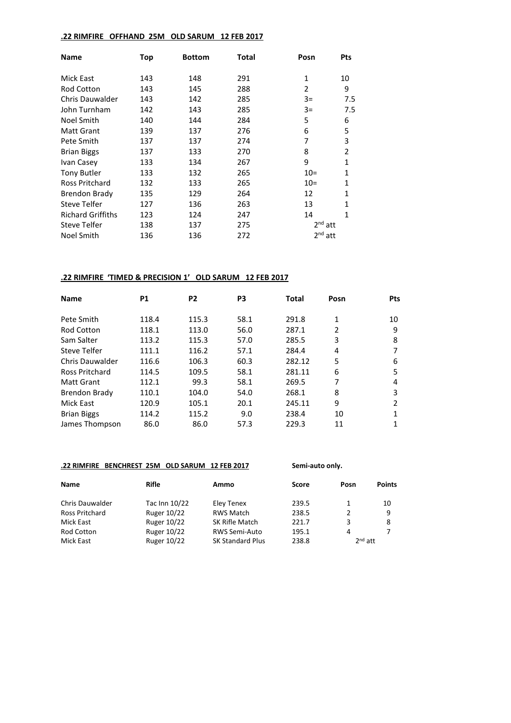#### **.22 RIMFIRE OFFHAND 25M OLD SARUM 12 FEB 2017**

| <b>Name</b>              | Top | <b>Bottom</b> | Total | Posn         | <b>Pts</b>     |
|--------------------------|-----|---------------|-------|--------------|----------------|
| Mick East                | 143 | 148           | 291   | $\mathbf{1}$ | 10             |
| <b>Rod Cotton</b>        | 143 | 145           | 288   | 2            | 9              |
| Chris Dauwalder          | 143 | 142           | 285   | $3=$         | 7.5            |
| John Turnham             | 142 | 143           | 285   | $3=$         | 7.5            |
| Noel Smith               | 140 | 144           | 284   | 5            | 6              |
| <b>Matt Grant</b>        | 139 | 137           | 276   | 6            | 5              |
| Pete Smith               | 137 | 137           | 274   | 7            | 3              |
| <b>Brian Biggs</b>       | 137 | 133           | 270   | 8            | $\overline{2}$ |
| Ivan Casey               | 133 | 134           | 267   | 9            | 1              |
| <b>Tony Butler</b>       | 133 | 132           | 265   | $10=$        | $\mathbf{1}$   |
| Ross Pritchard           | 132 | 133           | 265   | $10=$        | $\mathbf{1}$   |
| Brendon Brady            | 135 | 129           | 264   | 12           | 1              |
| Steve Telfer             | 127 | 136           | 263   | 13           | 1              |
| <b>Richard Griffiths</b> | 123 | 124           | 247   | 14           | 1              |
| <b>Steve Telfer</b>      | 138 | 137           | 275   | $2nd$ att    |                |
| <b>Noel Smith</b>        | 136 | 136           | 272   | $2nd$ att    |                |

#### **.22 RIMFIRE 'TIMED & PRECISION 1' OLD SARUM 12 FEB 2017**

| <b>Name</b>           | <b>P1</b> | P <sub>2</sub> | P <sub>3</sub> | Total  | Posn | <b>Pts</b>     |
|-----------------------|-----------|----------------|----------------|--------|------|----------------|
| Pete Smith            | 118.4     | 115.3          | 58.1           | 291.8  | 1    | 10             |
| <b>Rod Cotton</b>     | 118.1     | 113.0          | 56.0           | 287.1  | 2    | 9              |
| Sam Salter            | 113.2     | 115.3          | 57.0           | 285.5  | 3    | 8              |
| Steve Telfer          | 111.1     | 116.2          | 57.1           | 284.4  | 4    |                |
| Chris Dauwalder       | 116.6     | 106.3          | 60.3           | 282.12 | 5    | 6              |
| <b>Ross Pritchard</b> | 114.5     | 109.5          | 58.1           | 281.11 | 6    | 5              |
| <b>Matt Grant</b>     | 112.1     | 99.3           | 58.1           | 269.5  | 7    | 4              |
| <b>Brendon Brady</b>  | 110.1     | 104.0          | 54.0           | 268.1  | 8    | 3              |
| Mick East             | 120.9     | 105.1          | 20.1           | 245.11 | 9    | $\mathfrak{p}$ |
| <b>Brian Biggs</b>    | 114.2     | 115.2          | 9.0            | 238.4  | 10   | 1              |
| James Thompson        | 86.0      | 86.0           | 57.3           | 229.3  | 11   |                |

# **.22 RIMFIRE BENCHREST 25M OLD SARUM 12 FEB 2017 Semi-auto only.**

| <b>Name</b>            | <b>Rifle</b>  | Ammo                    | <b>Score</b> | Posn      | <b>Points</b> |
|------------------------|---------------|-------------------------|--------------|-----------|---------------|
| <b>Chris Dauwalder</b> | Tac Inn 10/22 | Eley Tenex              | 239.5        |           | 10            |
| Ross Pritchard         | Ruger 10/22   | RWS Match               | 238.5        | 2         | q             |
| Mick East              | Ruger 10/22   | SK Rifle Match          | 221.7        | 3         | 8             |
| Rod Cotton             | Ruger 10/22   | <b>RWS Semi-Auto</b>    | 195.1        | 4         |               |
| Mick East              | Ruger 10/22   | <b>SK Standard Plus</b> | 238.8        | $2nd$ att |               |